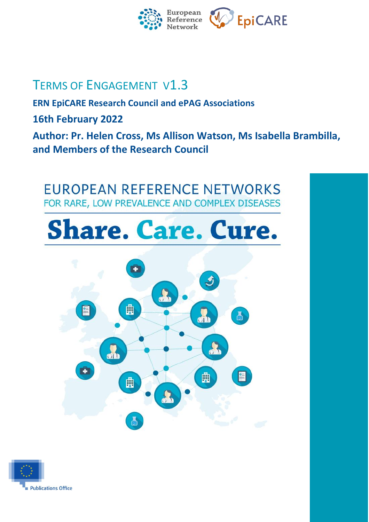

# TERMS OF ENGAGEMENT V1.3

**ERN EpiCARE Research Council and ePAG Associations**

**16th February 2022**

**Author: Pr. Helen Cross, Ms Allison Watson, Ms Isabella Brambilla, and Members of the Research Council**

**EUROPEAN REFERENCE NETWORKS** FOR RARE, LOW PREVALENCE AND COMPLEX DISEASES

# **Share. Care. Cure.**



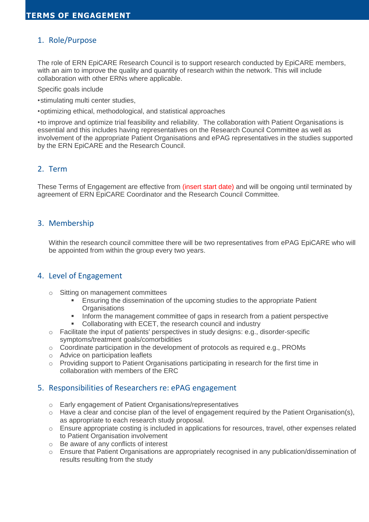# 1. Role/Purpose

The role of ERN EpiCARE Research Council is to support research conducted by EpiCARE members, with an aim to improve the quality and quantity of research within the network. This will include collaboration with other ERNs where applicable.

Specific goals include

- •stimulating multi center studies,
- •optimizing ethical, methodological, and statistical approaches

•to improve and optimize trial feasibility and reliability. The collaboration with Patient Organisations is essential and this includes having representatives on the Research Council Committee as well as involvement of the appropriate Patient Organisations and ePAG representatives in the studies supported by the ERN EpiCARE and the Research Council.

# 2. Term

These Terms of Engagement are effective from (insert start date) and will be ongoing until terminated by agreement of ERN EpiCARE Coordinator and the Research Council Committee.

#### 3. Membership

Within the research council committee there will be two representatives from ePAG EpiCARE who will be appointed from within the group every two years.

#### 4. Level of Engagement

- o Sitting on management committees
	- **Ensuring the dissemination of the upcoming studies to the appropriate Patient Organisations**
	- Inform the management committee of gaps in research from a patient perspective
	- Collaborating with ECET, the research council and industry
- $\circ$  Facilitate the input of patients' perspectives in study designs: e.g., disorder-specific symptoms/treatment goals/comorbidities
- $\circ$  Coordinate participation in the development of protocols as required e.g., PROMs
- o Advice on participation leaflets
- o Providing support to Patient Organisations participating in research for the first time in collaboration with members of the ERC

# 5. Responsibilities of Researchers re: ePAG engagement

- o Early engagement of Patient Organisations/representatives
- $\circ$  Have a clear and concise plan of the level of engagement required by the Patient Organisation(s), as appropriate to each research study proposal.
- $\circ$  Ensure appropriate costing is included in applications for resources, travel, other expenses related to Patient Organisation involvement
- o Be aware of any conflicts of interest
- o Ensure that Patient Organisations are appropriately recognised in any publication/dissemination of results resulting from the study